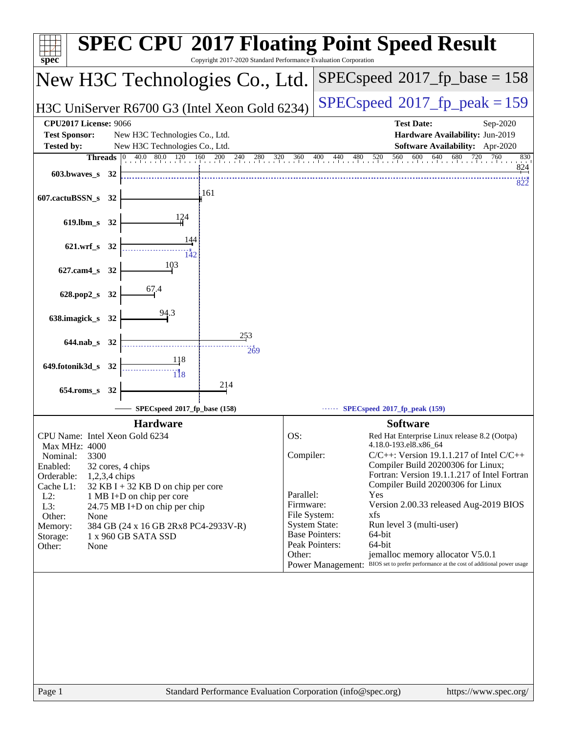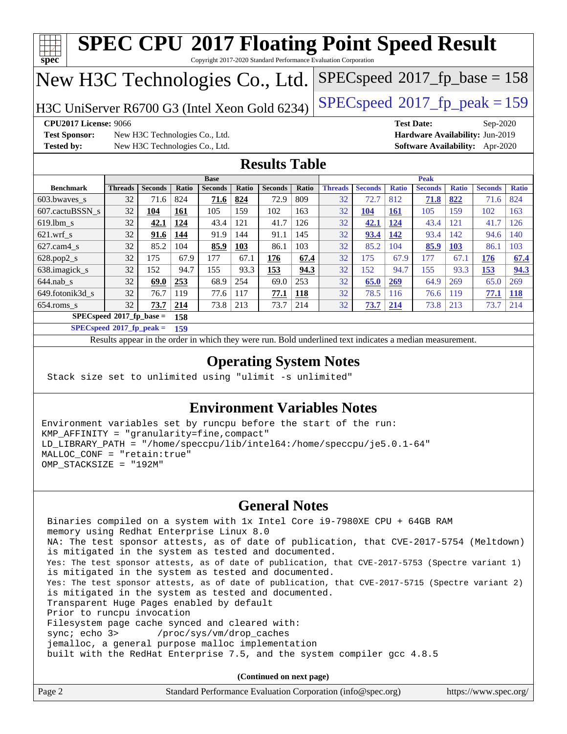| <b>SPEC CPU®2017 Floating Point Speed Result</b><br>spec<br>Copyright 2017-2020 Standard Performance Evaluation Corporation |                                                                                                          |                                |              |                |              |                |              |                |                |              |                   |              |                                        |              |
|-----------------------------------------------------------------------------------------------------------------------------|----------------------------------------------------------------------------------------------------------|--------------------------------|--------------|----------------|--------------|----------------|--------------|----------------|----------------|--------------|-------------------|--------------|----------------------------------------|--------------|
| $SPEC speed^{\circ}2017\_fp\_base = 158$<br>New H3C Technologies Co., Ltd.                                                  |                                                                                                          |                                |              |                |              |                |              |                |                |              |                   |              |                                        |              |
| $SPEC speed^{\circ}2017$ _fp_peak = 159<br>H3C UniServer R6700 G3 (Intel Xeon Gold 6234)                                    |                                                                                                          |                                |              |                |              |                |              |                |                |              |                   |              |                                        |              |
| <b>CPU2017 License: 9066</b>                                                                                                |                                                                                                          |                                |              |                |              |                |              |                |                |              | <b>Test Date:</b> |              | Sep-2020                               |              |
| <b>Test Sponsor:</b>                                                                                                        |                                                                                                          | New H3C Technologies Co., Ltd. |              |                |              |                |              |                |                |              |                   |              | Hardware Availability: Jun-2019        |              |
| <b>Tested by:</b>                                                                                                           |                                                                                                          | New H3C Technologies Co., Ltd. |              |                |              |                |              |                |                |              |                   |              | <b>Software Availability:</b> Apr-2020 |              |
| <b>Results Table</b>                                                                                                        |                                                                                                          |                                |              |                |              |                |              |                |                |              |                   |              |                                        |              |
| <b>Base</b><br><b>Peak</b>                                                                                                  |                                                                                                          |                                |              |                |              |                |              |                |                |              |                   |              |                                        |              |
| <b>Benchmark</b>                                                                                                            | <b>Threads</b>                                                                                           | <b>Seconds</b>                 | <b>Ratio</b> | <b>Seconds</b> | <b>Ratio</b> | <b>Seconds</b> | <b>Ratio</b> | <b>Threads</b> | <b>Seconds</b> | <b>Ratio</b> | <b>Seconds</b>    | <b>Ratio</b> | <b>Seconds</b>                         | <b>Ratio</b> |
| 603.bwaves s                                                                                                                | 32                                                                                                       | 71.6                           | 824          | 71.6           | 824          | 72.9           | 809          | 32             | 72.7           | 812          | 71.8              | 822          | 71.6                                   | 824          |
| 607.cactuBSSN s                                                                                                             | 32                                                                                                       | 104                            | 161          | 105            | 159          | 102            | 163          | 32             | <b>104</b>     | <b>161</b>   | 105               | 159          | 102                                    | 163          |
| $619.1$ bm s                                                                                                                | 32                                                                                                       | 42.1                           | 124          | 43.4           | 121          | 41.7           | 126          | 32             | 42.1           | 124          | 43.4              | 121          | 41.7                                   | 126          |
| $621$ .wrf s                                                                                                                | 32                                                                                                       | 91.6                           | 144          | 91.9           | 144          | 91.1           | 145          | 32             | 93.4           | 142          | 93.4              | 142          | 94.6                                   | 140          |
| 627.cam4_s                                                                                                                  | 32                                                                                                       | 85.2                           | 104          | 85.9           | 103          | 86.1           | 103          | 32             | 85.2           | 104          | 85.9              | 103          | 86.1                                   | 103          |
| 628.pop2_s                                                                                                                  | 32                                                                                                       | 175                            | 67.9         | 177            | 67.1         | 176            | 67.4         | 32             | 175            | 67.9         | 177               | 67.1         | 176                                    | 67.4         |
| 638.imagick_s                                                                                                               | 32                                                                                                       | 152                            | 94.7         | 155            | 93.3         | 153            | 94.3         | 32             | 152            | 94.7         | 155               | 93.3         | 153                                    | 94.3         |
| $644$ .nab s                                                                                                                | 32                                                                                                       | 69.0                           | 253          | 68.9           | 254          | 69.0           | 253          | 32             | 65.0           | 269          | 64.9              | 269          | 65.0                                   | 269          |
| 649.fotonik3d_s                                                                                                             | 32                                                                                                       | 76.7                           | 119          | 77.6           | 117          | 77.1           | 118          | 32             | 78.5           | 116          | 76.6              | 119          | 77.1                                   | 118          |
| 654.roms s                                                                                                                  | 32                                                                                                       | 73.7                           | 214          | 73.8           | 213          | 73.7           | 214          | 32             | 73.7           | 214          | 73.8              | 213          | 73.7                                   | 214          |
| SPECspeed®2017_fp_base =                                                                                                    |                                                                                                          |                                | 158          |                |              |                |              |                |                |              |                   |              |                                        |              |
| $SPECspeed*2017_fp\_peak =$                                                                                                 |                                                                                                          |                                | 159          |                |              |                |              |                |                |              |                   |              |                                        |              |
|                                                                                                                             | Results appear in the order in which they were run. Bold underlined text indicates a median measurement. |                                |              |                |              |                |              |                |                |              |                   |              |                                        |              |
| <b>Operating System Notes</b>                                                                                               |                                                                                                          |                                |              |                |              |                |              |                |                |              |                   |              |                                        |              |

Stack size set to unlimited using "ulimit -s unlimited"

## **[Environment Variables Notes](http://www.spec.org/auto/cpu2017/Docs/result-fields.html#EnvironmentVariablesNotes)**

Environment variables set by runcpu before the start of the run: KMP\_AFFINITY = "granularity=fine,compact" LD\_LIBRARY\_PATH = "/home/speccpu/lib/intel64:/home/speccpu/je5.0.1-64" MALLOC\_CONF = "retain:true" OMP\_STACKSIZE = "192M"

## **[General Notes](http://www.spec.org/auto/cpu2017/Docs/result-fields.html#GeneralNotes)**

 Binaries compiled on a system with 1x Intel Core i9-7980XE CPU + 64GB RAM memory using Redhat Enterprise Linux 8.0 NA: The test sponsor attests, as of date of publication, that CVE-2017-5754 (Meltdown) is mitigated in the system as tested and documented. Yes: The test sponsor attests, as of date of publication, that CVE-2017-5753 (Spectre variant 1) is mitigated in the system as tested and documented. Yes: The test sponsor attests, as of date of publication, that CVE-2017-5715 (Spectre variant 2) is mitigated in the system as tested and documented. Transparent Huge Pages enabled by default Prior to runcpu invocation Filesystem page cache synced and cleared with: sync; echo 3> /proc/sys/vm/drop\_caches jemalloc, a general purpose malloc implementation built with the RedHat Enterprise 7.5, and the system compiler gcc 4.8.5

**(Continued on next page)**

|        | .                                                           |                       |
|--------|-------------------------------------------------------------|-----------------------|
| Page 2 | Standard Performance Evaluation Corporation (info@spec.org) | https://www.spec.org/ |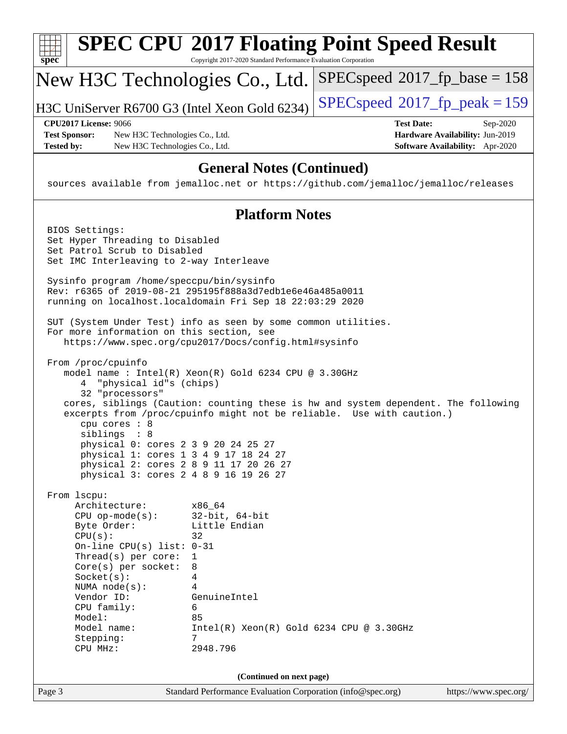| spec                                      | Copyright 2017-2020 Standard Performance Evaluation Corporation                                                        | <b>SPEC CPU®2017 Floating Point Speed Result</b>                                     |
|-------------------------------------------|------------------------------------------------------------------------------------------------------------------------|--------------------------------------------------------------------------------------|
|                                           | New H3C Technologies Co., Ltd.                                                                                         | $SPEC speed^{\circ}2017\_fp\_base = 158$                                             |
|                                           | H3C UniServer R6700 G3 (Intel Xeon Gold 6234)                                                                          | $SPEC speed^{\circ}2017$ fp peak = 159                                               |
| <b>CPU2017 License: 9066</b>              |                                                                                                                        | <b>Test Date:</b><br>Sep-2020                                                        |
| <b>Test Sponsor:</b><br><b>Tested by:</b> | New H3C Technologies Co., Ltd.<br>New H3C Technologies Co., Ltd.                                                       | Hardware Availability: Jun-2019<br>Software Availability: Apr-2020                   |
|                                           |                                                                                                                        |                                                                                      |
|                                           | <b>General Notes (Continued)</b>                                                                                       | sources available from jemalloc.net or https://github.com/jemalloc/jemalloc/releases |
|                                           | <b>Platform Notes</b>                                                                                                  |                                                                                      |
| BIOS Settings:                            |                                                                                                                        |                                                                                      |
| Set Hyper Threading to Disabled           |                                                                                                                        |                                                                                      |
| Set Patrol Scrub to Disabled              | Set IMC Interleaving to 2-way Interleave                                                                               |                                                                                      |
|                                           | Sysinfo program /home/speccpu/bin/sysinfo                                                                              |                                                                                      |
|                                           | Rev: r6365 of 2019-08-21 295195f888a3d7edble6e46a485a0011<br>running on localhost.localdomain Fri Sep 18 22:03:29 2020 |                                                                                      |
|                                           | SUT (System Under Test) info as seen by some common utilities.<br>For more information on this section, see            |                                                                                      |
|                                           | https://www.spec.org/cpu2017/Docs/config.html#sysinfo                                                                  |                                                                                      |
| From /proc/cpuinfo                        |                                                                                                                        |                                                                                      |
|                                           | model name : Intel(R) Xeon(R) Gold 6234 CPU @ 3.30GHz                                                                  |                                                                                      |
|                                           | 4 "physical id"s (chips)                                                                                               |                                                                                      |
| 32 "processors"                           |                                                                                                                        | cores, siblings (Caution: counting these is hw and system dependent. The following   |
| cpu cores : 8                             |                                                                                                                        | excerpts from /proc/cpuinfo might not be reliable. Use with caution.)                |
| siblings : 8                              |                                                                                                                        |                                                                                      |
|                                           | physical 0: cores 2 3 9 20 24 25 27                                                                                    |                                                                                      |
|                                           | physical 1: cores 1 3 4 9 17 18 24 27<br>physical 2: cores 2 8 9 11 17 20 26 27                                        |                                                                                      |
|                                           | physical 3: cores 2 4 8 9 16 19 26 27                                                                                  |                                                                                      |
| From lscpu:                               |                                                                                                                        |                                                                                      |
| Architecture:                             | x86_64                                                                                                                 |                                                                                      |
| $CPU$ op-mode( $s$ ):                     | $32$ -bit, $64$ -bit                                                                                                   |                                                                                      |
| Byte Order:<br>CPU(s):                    | Little Endian<br>32                                                                                                    |                                                                                      |
| On-line CPU(s) list: $0-31$               |                                                                                                                        |                                                                                      |
| Thread(s) per core:                       | 1                                                                                                                      |                                                                                      |
| Core(s) per socket:                       | 8                                                                                                                      |                                                                                      |
| Socket(s):<br>NUMA node(s):               | 4<br>4                                                                                                                 |                                                                                      |
| Vendor ID:                                | GenuineIntel                                                                                                           |                                                                                      |
| CPU family:                               | 6                                                                                                                      |                                                                                      |
| Model:<br>Model name:                     | 85                                                                                                                     | $Intel(R) Xeon(R) Gold 6234 CPU @ 3.30GHz$                                           |
| Stepping:<br>CPU MHz:                     | 7<br>2948.796                                                                                                          |                                                                                      |
|                                           |                                                                                                                        |                                                                                      |
|                                           | (Continued on next page)                                                                                               |                                                                                      |
| Page 3                                    | Standard Performance Evaluation Corporation (info@spec.org)                                                            | https://www.spec.org/                                                                |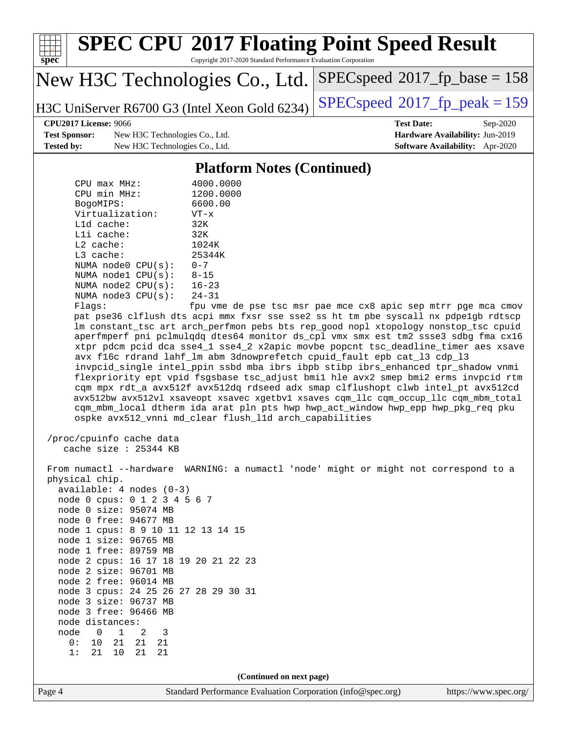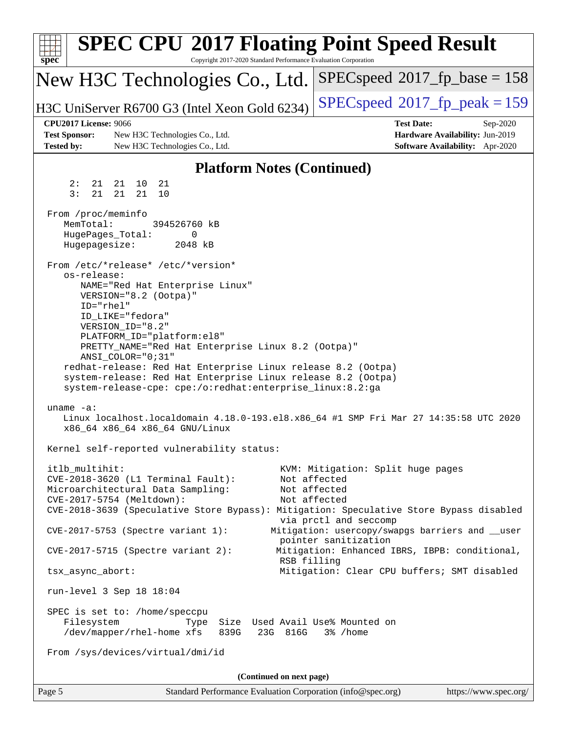| <b>SPEC CPU®2017 Floating Point Speed Result</b><br>spec <sup>®</sup><br>Copyright 2017-2020 Standard Performance Evaluation Corporation                                                                                                                             |                                                                                                     |
|----------------------------------------------------------------------------------------------------------------------------------------------------------------------------------------------------------------------------------------------------------------------|-----------------------------------------------------------------------------------------------------|
| New H3C Technologies Co., Ltd.                                                                                                                                                                                                                                       | $SPEC speed^{\circ}2017\_fp\_base = 158$                                                            |
| H3C UniServer R6700 G3 (Intel Xeon Gold 6234)                                                                                                                                                                                                                        | $SPEC speed^{\circ}2017$ fp peak = 159                                                              |
| <b>CPU2017 License: 9066</b><br><b>Test Sponsor:</b><br>New H3C Technologies Co., Ltd.<br><b>Tested by:</b><br>New H3C Technologies Co., Ltd.                                                                                                                        | <b>Test Date:</b><br>Sep-2020<br>Hardware Availability: Jun-2019<br>Software Availability: Apr-2020 |
| <b>Platform Notes (Continued)</b>                                                                                                                                                                                                                                    |                                                                                                     |
| 21<br>2:<br>21<br>21 10<br>3:<br>21<br>21<br>21<br>10                                                                                                                                                                                                                |                                                                                                     |
| From /proc/meminfo<br>MemTotal:<br>394526760 kB<br>HugePages_Total:<br>0<br>Hugepagesize:<br>2048 kB<br>From /etc/*release* /etc/*version*                                                                                                                           |                                                                                                     |
| os-release:<br>NAME="Red Hat Enterprise Linux"<br>VERSION="8.2 (Ootpa)"<br>ID="rhel"<br>ID_LIKE="fedora"<br>VERSION_ID="8.2"<br>PLATFORM_ID="platform:el8"                                                                                                           |                                                                                                     |
| PRETTY_NAME="Red Hat Enterprise Linux 8.2 (Ootpa)"<br>ANSI_COLOR="0;31"<br>redhat-release: Red Hat Enterprise Linux release 8.2 (Ootpa)<br>system-release: Red Hat Enterprise Linux release 8.2 (Ootpa)<br>system-release-cpe: cpe:/o:redhat:enterprise_linux:8.2:ga |                                                                                                     |
| uname $-a$ :<br>Linux localhost.localdomain 4.18.0-193.el8.x86_64 #1 SMP Fri Mar 27 14:35:58 UTC 2020<br>x86_64 x86_64 x86_64 GNU/Linux                                                                                                                              |                                                                                                     |
| Kernel self-reported vulnerability status:                                                                                                                                                                                                                           |                                                                                                     |
| itlb_multihit:<br>CVE-2018-3620 (L1 Terminal Fault):<br>Microarchitectural Data Sampling:<br>CVE-2017-5754 (Meltdown):<br>CVE-2018-3639 (Speculative Store Bypass): Mitigation: Speculative Store Bypass disabled                                                    | KVM: Mitigation: Split huge pages<br>Not affected<br>Not affected<br>Not affected                   |
| CVE-2017-5753 (Spectre variant 1):                                                                                                                                                                                                                                   | via prctl and seccomp<br>Mitigation: usercopy/swapgs barriers and __user<br>pointer sanitization    |
| $CVE-2017-5715$ (Spectre variant 2):<br>RSB filling                                                                                                                                                                                                                  | Mitigation: Enhanced IBRS, IBPB: conditional,                                                       |
| tsx_async_abort:                                                                                                                                                                                                                                                     | Mitigation: Clear CPU buffers; SMT disabled                                                         |
| run-level 3 Sep 18 18:04                                                                                                                                                                                                                                             |                                                                                                     |
| SPEC is set to: /home/speccpu<br>Filesystem<br>Size Used Avail Use% Mounted on<br>Type<br>/dev/mapper/rhel-home xfs<br>839G<br>23G 816G                                                                                                                              | 3% /home                                                                                            |
| From /sys/devices/virtual/dmi/id                                                                                                                                                                                                                                     |                                                                                                     |
| (Continued on next page)                                                                                                                                                                                                                                             |                                                                                                     |
| Page 5<br>Standard Performance Evaluation Corporation (info@spec.org)                                                                                                                                                                                                | https://www.spec.org/                                                                               |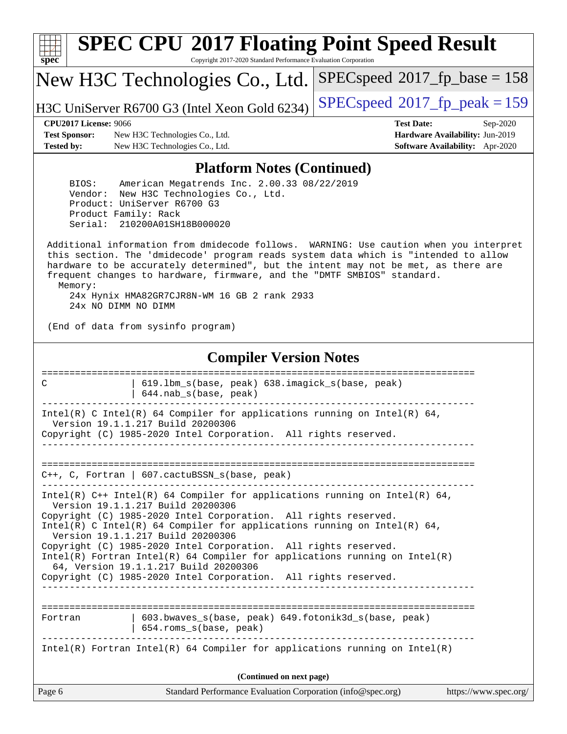| s<br>c | n | æ | C |  |
|--------|---|---|---|--|

# **[SPEC CPU](http://www.spec.org/auto/cpu2017/Docs/result-fields.html#SPECCPU2017FloatingPointSpeedResult)[2017 Floating Point Speed Result](http://www.spec.org/auto/cpu2017/Docs/result-fields.html#SPECCPU2017FloatingPointSpeedResult)**

Copyright 2017-2020 Standard Performance Evaluation Corporation

New H3C Technologies Co., Ltd.

H3C UniServer R6700 G3 (Intel Xeon Gold 6234) [SPECspeed](http://www.spec.org/auto/cpu2017/Docs/result-fields.html#SPECspeed2017fppeak)<sup>®</sup>[2017\\_fp\\_peak = 1](http://www.spec.org/auto/cpu2017/Docs/result-fields.html#SPECspeed2017fppeak)59

[SPECspeed](http://www.spec.org/auto/cpu2017/Docs/result-fields.html#SPECspeed2017fpbase)<sup>®</sup>2017 fp base = 158

**[Test Sponsor:](http://www.spec.org/auto/cpu2017/Docs/result-fields.html#TestSponsor)** New H3C Technologies Co., Ltd. **[Hardware Availability:](http://www.spec.org/auto/cpu2017/Docs/result-fields.html#HardwareAvailability)** Jun-2019 **[Tested by:](http://www.spec.org/auto/cpu2017/Docs/result-fields.html#Testedby)** New H3C Technologies Co., Ltd. **[Software Availability:](http://www.spec.org/auto/cpu2017/Docs/result-fields.html#SoftwareAvailability)** Apr-2020

**[CPU2017 License:](http://www.spec.org/auto/cpu2017/Docs/result-fields.html#CPU2017License)** 9066 **[Test Date:](http://www.spec.org/auto/cpu2017/Docs/result-fields.html#TestDate)** Sep-2020

#### **[Platform Notes \(Continued\)](http://www.spec.org/auto/cpu2017/Docs/result-fields.html#PlatformNotes)**

 BIOS: American Megatrends Inc. 2.00.33 08/22/2019 Vendor: New H3C Technologies Co., Ltd. Product: UniServer R6700 G3 Product Family: Rack Serial: 210200A01SH18B000020

 Additional information from dmidecode follows. WARNING: Use caution when you interpret this section. The 'dmidecode' program reads system data which is "intended to allow hardware to be accurately determined", but the intent may not be met, as there are frequent changes to hardware, firmware, and the "DMTF SMBIOS" standard. Memory: 24x Hynix HMA82GR7CJR8N-WM 16 GB 2 rank 2933

24x NO DIMM NO DIMM

(End of data from sysinfo program)

### **[Compiler Version Notes](http://www.spec.org/auto/cpu2017/Docs/result-fields.html#CompilerVersionNotes)**

| 619.1bm_s(base, peak) 638.imagick_s(base, peak)<br>C<br>$644.nab_s(base, peak)$                                                                                                        |
|----------------------------------------------------------------------------------------------------------------------------------------------------------------------------------------|
| Intel(R) C Intel(R) 64 Compiler for applications running on Intel(R) 64,<br>Version 19.1.1.217 Build 20200306                                                                          |
| Copyright (C) 1985-2020 Intel Corporation. All rights reserved.                                                                                                                        |
| $C_{++}$ , C, Fortran   607. cactuBSSN s(base, peak)                                                                                                                                   |
| Intel(R) $C++$ Intel(R) 64 Compiler for applications running on Intel(R) 64,<br>Version 19.1.1.217 Build 20200306                                                                      |
| Copyright (C) 1985-2020 Intel Corporation. All rights reserved.<br>Intel(R) C Intel(R) 64 Compiler for applications running on Intel(R) 64,<br>Version 19.1.1.217 Build 20200306       |
| Copyright (C) 1985-2020 Intel Corporation. All rights reserved.<br>Intel(R) Fortran Intel(R) 64 Compiler for applications running on Intel(R)<br>64, Version 19.1.1.217 Build 20200306 |
| Copyright (C) 1985-2020 Intel Corporation. All rights reserved.                                                                                                                        |
| 603.bwaves s(base, peak) 649.fotonik3d s(base, peak)<br>Fortran                                                                                                                        |
| 654.roms_s(base, peak)                                                                                                                                                                 |
| Intel(R) Fortran Intel(R) 64 Compiler for applications running on Intel(R)                                                                                                             |
| (Continued on next page)                                                                                                                                                               |
| Page 6<br>Standard Performance Evaluation Corporation (info@spec.org)<br>https://www.spec.org/                                                                                         |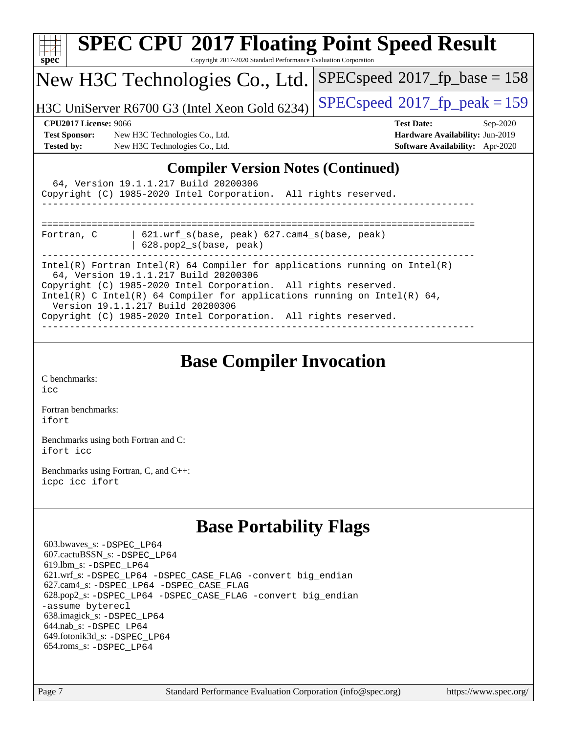| $spec^*$                                                                                                                                                                                                                                                                                                                                                                   | Copyright 2017-2020 Standard Performance Evaluation Corporation                                                                                       | <b>SPEC CPU®2017 Floating Point Speed Result</b>                                                    |  |  |  |  |
|----------------------------------------------------------------------------------------------------------------------------------------------------------------------------------------------------------------------------------------------------------------------------------------------------------------------------------------------------------------------------|-------------------------------------------------------------------------------------------------------------------------------------------------------|-----------------------------------------------------------------------------------------------------|--|--|--|--|
|                                                                                                                                                                                                                                                                                                                                                                            | New H3C Technologies Co., Ltd.                                                                                                                        | $SPEC speed^{\circ}2017$ _fp_base = 158                                                             |  |  |  |  |
|                                                                                                                                                                                                                                                                                                                                                                            | H3C UniServer R6700 G3 (Intel Xeon Gold 6234)                                                                                                         | $SPEC speed^{\circ}2017$ _fp_peak = 159                                                             |  |  |  |  |
| <b>CPU2017 License: 9066</b><br><b>Test Sponsor:</b><br><b>Tested by:</b>                                                                                                                                                                                                                                                                                                  | New H3C Technologies Co., Ltd.<br>New H3C Technologies Co., Ltd.                                                                                      | <b>Test Date:</b><br>Sep-2020<br>Hardware Availability: Jun-2019<br>Software Availability: Apr-2020 |  |  |  |  |
|                                                                                                                                                                                                                                                                                                                                                                            | <b>Compiler Version Notes (Continued)</b><br>64, Version 19.1.1.217 Build 20200306<br>Copyright (C) 1985-2020 Intel Corporation. All rights reserved. |                                                                                                     |  |  |  |  |
| Fortran, C                                                                                                                                                                                                                                                                                                                                                                 | $621.$ wrf $s$ (base, peak) $627.$ cam4 $s$ (base, peak)<br>628.pop2_s(base, peak)                                                                    |                                                                                                     |  |  |  |  |
| Intel(R) Fortran Intel(R) 64 Compiler for applications running on Intel(R)<br>64, Version 19.1.1.217 Build 20200306<br>Copyright (C) 1985-2020 Intel Corporation. All rights reserved.<br>Intel(R) C Intel(R) 64 Compiler for applications running on Intel(R) 64,<br>Version 19.1.1.217 Build 20200306<br>Copyright (C) 1985-2020 Intel Corporation. All rights reserved. |                                                                                                                                                       |                                                                                                     |  |  |  |  |

## **[Base Compiler Invocation](http://www.spec.org/auto/cpu2017/Docs/result-fields.html#BaseCompilerInvocation)**

[C benchmarks](http://www.spec.org/auto/cpu2017/Docs/result-fields.html#Cbenchmarks): [icc](http://www.spec.org/cpu2017/results/res2020q4/cpu2017-20200927-24026.flags.html#user_CCbase_intel_icc_66fc1ee009f7361af1fbd72ca7dcefbb700085f36577c54f309893dd4ec40d12360134090235512931783d35fd58c0460139e722d5067c5574d8eaf2b3e37e92)

[Fortran benchmarks](http://www.spec.org/auto/cpu2017/Docs/result-fields.html#Fortranbenchmarks): [ifort](http://www.spec.org/cpu2017/results/res2020q4/cpu2017-20200927-24026.flags.html#user_FCbase_intel_ifort_8111460550e3ca792625aed983ce982f94888b8b503583aa7ba2b8303487b4d8a21a13e7191a45c5fd58ff318f48f9492884d4413fa793fd88dd292cad7027ca)

[Benchmarks using both Fortran and C](http://www.spec.org/auto/cpu2017/Docs/result-fields.html#BenchmarksusingbothFortranandC): [ifort](http://www.spec.org/cpu2017/results/res2020q4/cpu2017-20200927-24026.flags.html#user_CC_FCbase_intel_ifort_8111460550e3ca792625aed983ce982f94888b8b503583aa7ba2b8303487b4d8a21a13e7191a45c5fd58ff318f48f9492884d4413fa793fd88dd292cad7027ca) [icc](http://www.spec.org/cpu2017/results/res2020q4/cpu2017-20200927-24026.flags.html#user_CC_FCbase_intel_icc_66fc1ee009f7361af1fbd72ca7dcefbb700085f36577c54f309893dd4ec40d12360134090235512931783d35fd58c0460139e722d5067c5574d8eaf2b3e37e92)

[Benchmarks using Fortran, C, and C++:](http://www.spec.org/auto/cpu2017/Docs/result-fields.html#BenchmarksusingFortranCandCXX) [icpc](http://www.spec.org/cpu2017/results/res2020q4/cpu2017-20200927-24026.flags.html#user_CC_CXX_FCbase_intel_icpc_c510b6838c7f56d33e37e94d029a35b4a7bccf4766a728ee175e80a419847e808290a9b78be685c44ab727ea267ec2f070ec5dc83b407c0218cded6866a35d07) [icc](http://www.spec.org/cpu2017/results/res2020q4/cpu2017-20200927-24026.flags.html#user_CC_CXX_FCbase_intel_icc_66fc1ee009f7361af1fbd72ca7dcefbb700085f36577c54f309893dd4ec40d12360134090235512931783d35fd58c0460139e722d5067c5574d8eaf2b3e37e92) [ifort](http://www.spec.org/cpu2017/results/res2020q4/cpu2017-20200927-24026.flags.html#user_CC_CXX_FCbase_intel_ifort_8111460550e3ca792625aed983ce982f94888b8b503583aa7ba2b8303487b4d8a21a13e7191a45c5fd58ff318f48f9492884d4413fa793fd88dd292cad7027ca)

## **[Base Portability Flags](http://www.spec.org/auto/cpu2017/Docs/result-fields.html#BasePortabilityFlags)**

 603.bwaves\_s: [-DSPEC\\_LP64](http://www.spec.org/cpu2017/results/res2020q4/cpu2017-20200927-24026.flags.html#suite_basePORTABILITY603_bwaves_s_DSPEC_LP64) 607.cactuBSSN\_s: [-DSPEC\\_LP64](http://www.spec.org/cpu2017/results/res2020q4/cpu2017-20200927-24026.flags.html#suite_basePORTABILITY607_cactuBSSN_s_DSPEC_LP64) 619.lbm\_s: [-DSPEC\\_LP64](http://www.spec.org/cpu2017/results/res2020q4/cpu2017-20200927-24026.flags.html#suite_basePORTABILITY619_lbm_s_DSPEC_LP64) 621.wrf\_s: [-DSPEC\\_LP64](http://www.spec.org/cpu2017/results/res2020q4/cpu2017-20200927-24026.flags.html#suite_basePORTABILITY621_wrf_s_DSPEC_LP64) [-DSPEC\\_CASE\\_FLAG](http://www.spec.org/cpu2017/results/res2020q4/cpu2017-20200927-24026.flags.html#b621.wrf_s_baseCPORTABILITY_DSPEC_CASE_FLAG) [-convert big\\_endian](http://www.spec.org/cpu2017/results/res2020q4/cpu2017-20200927-24026.flags.html#user_baseFPORTABILITY621_wrf_s_convert_big_endian_c3194028bc08c63ac5d04de18c48ce6d347e4e562e8892b8bdbdc0214820426deb8554edfa529a3fb25a586e65a3d812c835984020483e7e73212c4d31a38223) 627.cam4\_s: [-DSPEC\\_LP64](http://www.spec.org/cpu2017/results/res2020q4/cpu2017-20200927-24026.flags.html#suite_basePORTABILITY627_cam4_s_DSPEC_LP64) [-DSPEC\\_CASE\\_FLAG](http://www.spec.org/cpu2017/results/res2020q4/cpu2017-20200927-24026.flags.html#b627.cam4_s_baseCPORTABILITY_DSPEC_CASE_FLAG) 628.pop2\_s: [-DSPEC\\_LP64](http://www.spec.org/cpu2017/results/res2020q4/cpu2017-20200927-24026.flags.html#suite_basePORTABILITY628_pop2_s_DSPEC_LP64) [-DSPEC\\_CASE\\_FLAG](http://www.spec.org/cpu2017/results/res2020q4/cpu2017-20200927-24026.flags.html#b628.pop2_s_baseCPORTABILITY_DSPEC_CASE_FLAG) [-convert big\\_endian](http://www.spec.org/cpu2017/results/res2020q4/cpu2017-20200927-24026.flags.html#user_baseFPORTABILITY628_pop2_s_convert_big_endian_c3194028bc08c63ac5d04de18c48ce6d347e4e562e8892b8bdbdc0214820426deb8554edfa529a3fb25a586e65a3d812c835984020483e7e73212c4d31a38223) [-assume byterecl](http://www.spec.org/cpu2017/results/res2020q4/cpu2017-20200927-24026.flags.html#user_baseFPORTABILITY628_pop2_s_assume_byterecl_7e47d18b9513cf18525430bbf0f2177aa9bf368bc7a059c09b2c06a34b53bd3447c950d3f8d6c70e3faf3a05c8557d66a5798b567902e8849adc142926523472) 638.imagick\_s: [-DSPEC\\_LP64](http://www.spec.org/cpu2017/results/res2020q4/cpu2017-20200927-24026.flags.html#suite_basePORTABILITY638_imagick_s_DSPEC_LP64) 644.nab\_s: [-DSPEC\\_LP64](http://www.spec.org/cpu2017/results/res2020q4/cpu2017-20200927-24026.flags.html#suite_basePORTABILITY644_nab_s_DSPEC_LP64) 649.fotonik3d\_s: [-DSPEC\\_LP64](http://www.spec.org/cpu2017/results/res2020q4/cpu2017-20200927-24026.flags.html#suite_basePORTABILITY649_fotonik3d_s_DSPEC_LP64) 654.roms\_s: [-DSPEC\\_LP64](http://www.spec.org/cpu2017/results/res2020q4/cpu2017-20200927-24026.flags.html#suite_basePORTABILITY654_roms_s_DSPEC_LP64)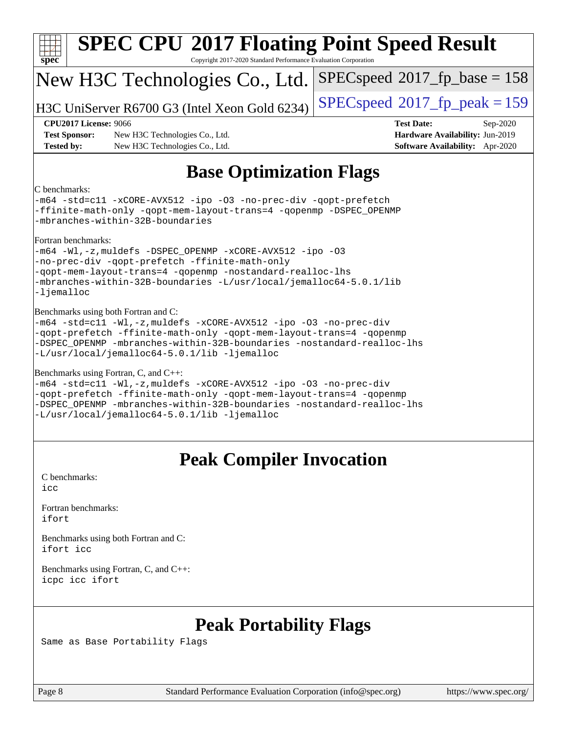| $spec^*$                                                                  | <b>SPEC CPU®2017 Floating Point Speed Result</b><br>Copyright 2017-2020 Standard Performance Evaluation Corporation                                                                                                                                                                                         |                                                                                                     |
|---------------------------------------------------------------------------|-------------------------------------------------------------------------------------------------------------------------------------------------------------------------------------------------------------------------------------------------------------------------------------------------------------|-----------------------------------------------------------------------------------------------------|
|                                                                           | New H3C Technologies Co., Ltd.                                                                                                                                                                                                                                                                              | $SPEC speed^{\circ}2017$ [p_base = 158                                                              |
|                                                                           | H3C UniServer R6700 G3 (Intel Xeon Gold 6234)                                                                                                                                                                                                                                                               | $SPEC speed^{\circ}2017$ [p_peak = 159                                                              |
| <b>CPU2017 License: 9066</b><br><b>Test Sponsor:</b><br><b>Tested by:</b> | New H3C Technologies Co., Ltd.<br>New H3C Technologies Co., Ltd.                                                                                                                                                                                                                                            | <b>Test Date:</b><br>Sep-2020<br>Hardware Availability: Jun-2019<br>Software Availability: Apr-2020 |
|                                                                           | <b>Base Optimization Flags</b>                                                                                                                                                                                                                                                                              |                                                                                                     |
| C benchmarks:                                                             | -m64 -std=cll -xCORE-AVX512 -ipo -03 -no-prec-div -qopt-prefetch<br>-ffinite-math-only -qopt-mem-layout-trans=4 -qopenmp -DSPEC_OPENMP<br>-mbranches-within-32B-boundaries                                                                                                                                  |                                                                                                     |
| Fortran benchmarks:<br>-ljemalloc                                         | -m64 -Wl,-z, muldefs -DSPEC_OPENMP -xCORE-AVX512 -ipo -03<br>-no-prec-div -qopt-prefetch -ffinite-math-only<br>-qopt-mem-layout-trans=4 -qopenmp -nostandard-realloc-lhs<br>-mbranches-within-32B-boundaries -L/usr/local/jemalloc64-5.0.1/lib                                                              |                                                                                                     |
|                                                                           | Benchmarks using both Fortran and C:<br>-m64 -std=c11 -Wl,-z, muldefs -xCORE-AVX512 -ipo -03 -no-prec-div<br>-qopt-prefetch -ffinite-math-only -qopt-mem-layout-trans=4 -qopenmp<br>-DSPEC_OPENMP -mbranches-within-32B-boundaries -nostandard-realloc-lhs<br>-L/usr/local/jemalloc64-5.0.1/lib -ljemalloc  |                                                                                                     |
|                                                                           | Benchmarks using Fortran, C, and C++:<br>-m64 -std=c11 -Wl,-z, muldefs -xCORE-AVX512 -ipo -03 -no-prec-div<br>-qopt-prefetch -ffinite-math-only -qopt-mem-layout-trans=4 -qopenmp<br>-DSPEC OPENMP -mbranches-within-32B-boundaries -nostandard-realloc-lhs<br>-L/usr/local/jemalloc64-5.0.1/lib -ljemalloc |                                                                                                     |
|                                                                           | <b>Peak Compiler Invocation</b>                                                                                                                                                                                                                                                                             |                                                                                                     |
| C benchmarks:<br>icc                                                      |                                                                                                                                                                                                                                                                                                             |                                                                                                     |
| Fortran benchmarks:<br>ifort                                              |                                                                                                                                                                                                                                                                                                             |                                                                                                     |
| ifort icc                                                                 | Benchmarks using both Fortran and C:                                                                                                                                                                                                                                                                        |                                                                                                     |
| icpc icc ifort                                                            | Benchmarks using Fortran, C, and C++:                                                                                                                                                                                                                                                                       |                                                                                                     |
|                                                                           |                                                                                                                                                                                                                                                                                                             |                                                                                                     |

## **[Peak Portability Flags](http://www.spec.org/auto/cpu2017/Docs/result-fields.html#PeakPortabilityFlags)**

Same as Base Portability Flags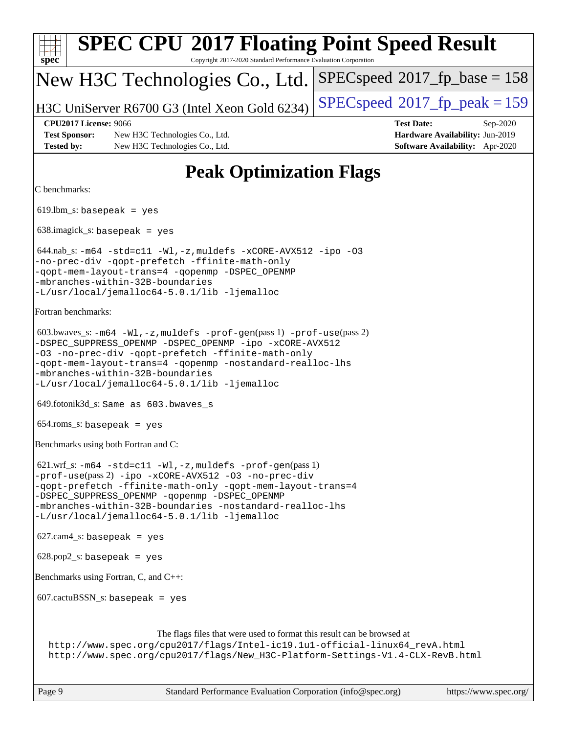| <b>SPEC CPU®2017 Floating Point Speed Result</b><br>Copyright 2017-2020 Standard Performance Evaluation Corporation<br>$spec^*$                                                                                                                                                                                                                                |                                                                                                     |
|----------------------------------------------------------------------------------------------------------------------------------------------------------------------------------------------------------------------------------------------------------------------------------------------------------------------------------------------------------------|-----------------------------------------------------------------------------------------------------|
| New H3C Technologies Co., Ltd.                                                                                                                                                                                                                                                                                                                                 | $SPEC speed^{\circ}2017\_fp\_base = 158$                                                            |
| H3C UniServer R6700 G3 (Intel Xeon Gold 6234)                                                                                                                                                                                                                                                                                                                  | $SPEC speed^{\circ}2017$ fp peak = 159                                                              |
| <b>CPU2017 License: 9066</b><br><b>Test Sponsor:</b><br>New H3C Technologies Co., Ltd.<br><b>Tested by:</b><br>New H3C Technologies Co., Ltd.                                                                                                                                                                                                                  | <b>Test Date:</b><br>Sep-2020<br>Hardware Availability: Jun-2019<br>Software Availability: Apr-2020 |
| <b>Peak Optimization Flags</b>                                                                                                                                                                                                                                                                                                                                 |                                                                                                     |
| C benchmarks:                                                                                                                                                                                                                                                                                                                                                  |                                                                                                     |
| $619.$ lbm_s: basepeak = yes                                                                                                                                                                                                                                                                                                                                   |                                                                                                     |
| $638.\text{imagick_s: basepeak}$ = yes                                                                                                                                                                                                                                                                                                                         |                                                                                                     |
| $644.nab$ <sub>5</sub> : $-m64$ $-std=cl1$ $-Wl$ , $-z$ , muldefs $-xCORE-AVX512$ $-ipo$ $-03$<br>-no-prec-div -qopt-prefetch -ffinite-math-only<br>-qopt-mem-layout-trans=4 -qopenmp -DSPEC_OPENMP<br>-mbranches-within-32B-boundaries<br>-L/usr/local/jemalloc64-5.0.1/lib -ljemalloc                                                                        |                                                                                                     |
| Fortran benchmarks:                                                                                                                                                                                                                                                                                                                                            |                                                                                                     |
| $603.bwaves$ $s: -m64 -W1, -z$ , muldefs $-prof-gen(pass 1) -prof-use(pass 2)$<br>-DSPEC_SUPPRESS_OPENMP -DSPEC_OPENMP -ipo -xCORE-AVX512<br>-03 -no-prec-div -qopt-prefetch -ffinite-math-only<br>-qopt-mem-layout-trans=4 -qopenmp -nostandard-realloc-lhs<br>-mbranches-within-32B-boundaries<br>-L/usr/local/jemalloc64-5.0.1/lib -ljemalloc               |                                                                                                     |
| 649.fotonik3d_s: Same as 603.bwaves_s                                                                                                                                                                                                                                                                                                                          |                                                                                                     |
| $654$ .roms_s: basepeak = yes                                                                                                                                                                                                                                                                                                                                  |                                                                                                     |
| Benchmarks using both Fortran and C:                                                                                                                                                                                                                                                                                                                           |                                                                                                     |
| $621.wrf_s$ : $-m64 - std = c11 - Wl$ , $-z$ , muldefs $-prof-gen(pass 1)$<br>-prof-use(pass 2) -ipo -xCORE-AVX512 -03 -no-prec-div<br>-qopt-prefetch -ffinite-math-only -qopt-mem-layout-trans=4<br>-DSPEC_SUPPRESS_OPENMP -qopenmp -DSPEC_OPENMP<br>-mbranches-within-32B-boundaries -nostandard-realloc-lhs<br>-L/usr/local/jemalloc64-5.0.1/lib -ljemalloc |                                                                                                     |
| $627.cam4_s$ : basepeak = yes                                                                                                                                                                                                                                                                                                                                  |                                                                                                     |
| $628.pop2_s: basepeak = yes$                                                                                                                                                                                                                                                                                                                                   |                                                                                                     |
| Benchmarks using Fortran, C, and C++:                                                                                                                                                                                                                                                                                                                          |                                                                                                     |
| $607.cactuBSSN_s$ : basepeak = yes                                                                                                                                                                                                                                                                                                                             |                                                                                                     |
| The flags files that were used to format this result can be browsed at<br>http://www.spec.org/cpu2017/flags/Intel-ic19.1u1-official-linux64_revA.html<br>http://www.spec.org/cpu2017/flags/New_H3C-Platform-Settings-V1.4-CLX-RevB.html                                                                                                                        |                                                                                                     |